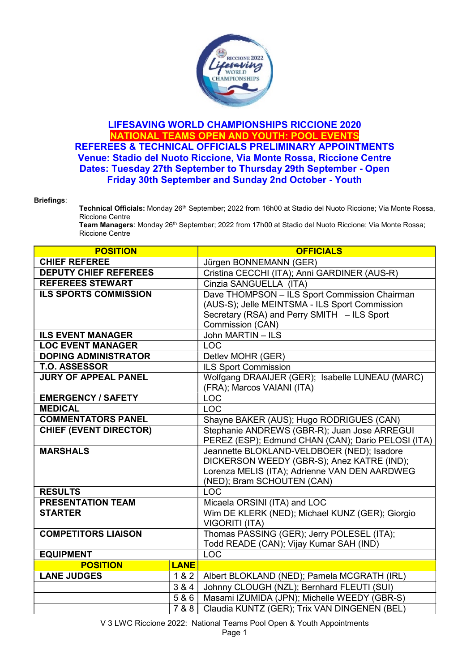

## LIFESAVING WORLD CHAMPIONSHIPS RICCIONE 2020 NATIONAL TEAMS OPEN AND YOUTH: POOL EVENTS REFEREES & TECHNICAL OFFICIALS PRELIMINARY APPOINTMENTS Venue: Stadio del Nuoto Riccione, Via Monte Rossa, Riccione Centre Dates: Tuesday 27th September to Thursday 29th September - Open Friday 30th September and Sunday 2nd October - Youth

## Briefings:

Technical Officials: Monday 26<sup>th</sup> September; 2022 from 16h00 at Stadio del Nuoto Riccione; Via Monte Rossa, Riccione Centre

Team Managers: Monday 26<sup>th</sup> September; 2022 from 17h00 at Stadio del Nuoto Riccione; Via Monte Rossa; Riccione Centre

| <b>POSITION</b>               |             | <b>OFFICIALS</b>                                   |
|-------------------------------|-------------|----------------------------------------------------|
| <b>CHIEF REFEREE</b>          |             | Jürgen BONNEMANN (GER)                             |
| <b>DEPUTY CHIEF REFEREES</b>  |             | Cristina CECCHI (ITA); Anni GARDINER (AUS-R)       |
| <b>REFEREES STEWART</b>       |             | Cinzia SANGUELLA (ITA)                             |
| <b>ILS SPORTS COMMISSION</b>  |             | Dave THOMPSON - ILS Sport Commission Chairman      |
|                               |             | (AUS-S); Jelle MEINTSMA - ILS Sport Commission     |
|                               |             | Secretary (RSA) and Perry SMITH - ILS Sport        |
|                               |             | Commission (CAN)                                   |
| <b>ILS EVENT MANAGER</b>      |             | John MARTIN - ILS                                  |
| <b>LOC EVENT MANAGER</b>      |             | <b>LOC</b>                                         |
| <b>DOPING ADMINISTRATOR</b>   |             | Detlev MOHR (GER)                                  |
| <b>T.O. ASSESSOR</b>          |             | <b>ILS Sport Commission</b>                        |
| <b>JURY OF APPEAL PANEL</b>   |             | Wolfgang DRAAIJER (GER); Isabelle LUNEAU (MARC)    |
|                               |             | (FRA); Marcos VAIANI (ITA)                         |
| <b>EMERGENCY / SAFETY</b>     |             | <b>LOC</b>                                         |
| <b>MEDICAL</b>                |             | LOC                                                |
| <b>COMMENTATORS PANEL</b>     |             | Shayne BAKER (AUS); Hugo RODRIGUES (CAN)           |
| <b>CHIEF (EVENT DIRECTOR)</b> |             | Stephanie ANDREWS (GBR-R); Juan Jose ARREGUI       |
|                               |             | PEREZ (ESP); Edmund CHAN (CAN); Dario PELOSI (ITA) |
| <b>MARSHALS</b>               |             | Jeannette BLOKLAND-VELDBOER (NED); Isadore         |
|                               |             | DICKERSON WEEDY (GBR-S); Anez KATRE (IND);         |
|                               |             | Lorenza MELIS (ITA); Adrienne VAN DEN AARDWEG      |
|                               |             | (NED); Bram SCHOUTEN (CAN)                         |
| <b>RESULTS</b>                |             | <b>LOC</b>                                         |
| <b>PRESENTATION TEAM</b>      |             | Micaela ORSINI (ITA) and LOC                       |
| <b>STARTER</b>                |             | Wim DE KLERK (NED); Michael KUNZ (GER); Giorgio    |
|                               |             | <b>VIGORITI (ITA)</b>                              |
| <b>COMPETITORS LIAISON</b>    |             | Thomas PASSING (GER); Jerry POLESEL (ITA);         |
|                               |             | Todd READE (CAN); Vijay Kumar SAH (IND)            |
| <b>EQUIPMENT</b>              |             | <b>LOC</b>                                         |
| <b>POSITION</b>               | <b>LANE</b> |                                                    |
| <b>LANE JUDGES</b>            | 1 & 2       | Albert BLOKLAND (NED); Pamela MCGRATH (IRL)        |
|                               | 3 & 4       | Johnny CLOUGH (NZL); Bernhard FLEUTI (SUI)         |
|                               | 586         | Masami IZUMIDA (JPN); Michelle WEEDY (GBR-S)       |
|                               | 7 & 8       | Claudia KUNTZ (GER); Trix VAN DINGENEN (BEL)       |

V 3 LWC Riccione 2022: National Teams Pool Open & Youth Appointments